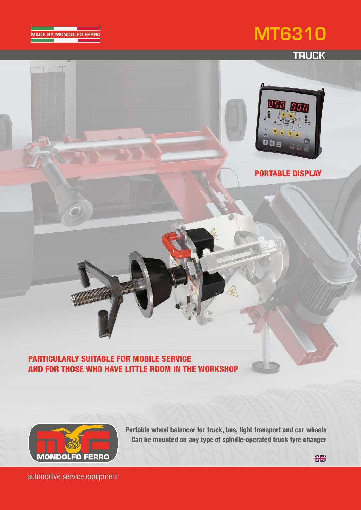



**THE REAL PROPERTY** 

## **TRUCK**



PORTABLE DISPLAY

### PARTICULARLY SUITABLE FOR MOBILE SERVICE AND FOR THOSE WHO HAVE LITTLE ROOM IN THE WORKSHOP



Portable wheel balancer for truck, bus, light transport and car wheels Can be mounted on any type of spindle-operated truck tyre changer

 $\frac{1}{2}$ 

automotive service equipment